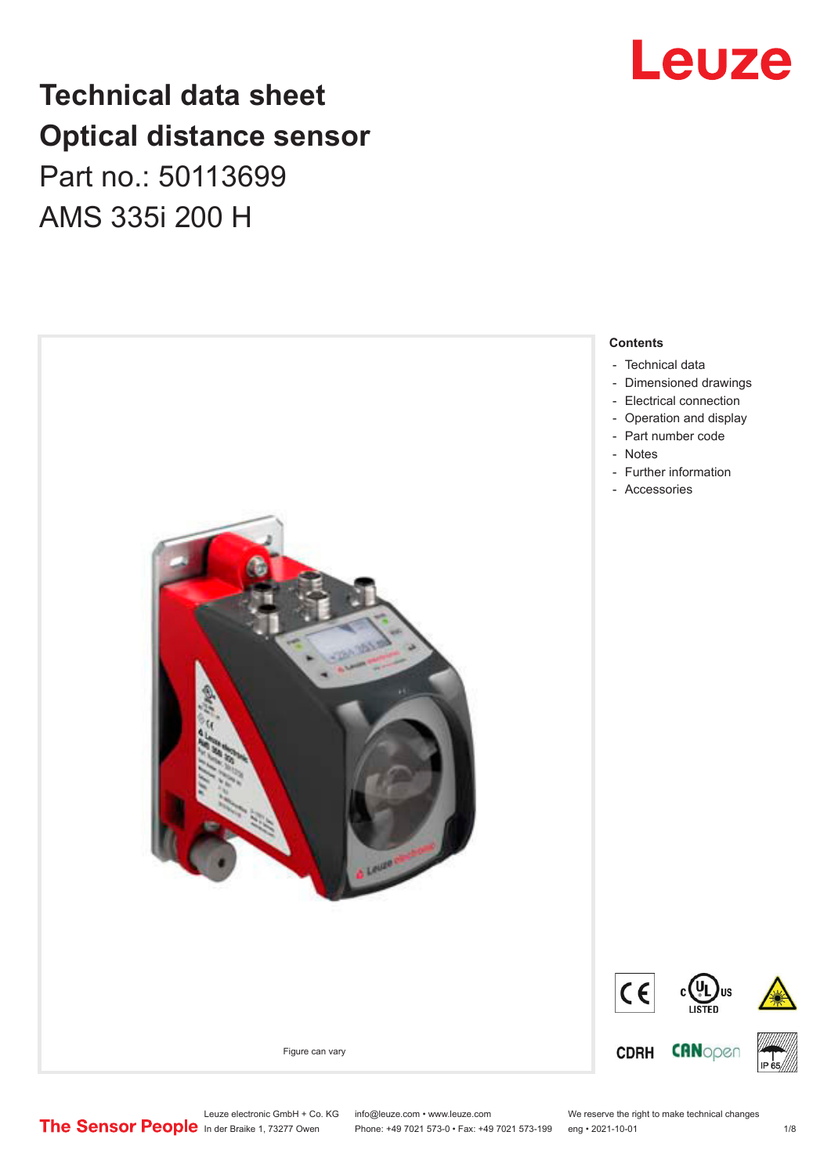# **Technical data sheet Optical distance sensor** Part no.: 50113699 AMS 335i 200 H



Leuze

Leuze electronic GmbH + Co. KG info@leuze.com • www.leuze.com We reserve the right to make technical changes<br>
The Sensor People in der Braike 1, 73277 Owen Phone: +49 7021 573-0 • Fax: +49 7021 573-199 eng • 2021-10-01

Phone: +49 7021 573-0 • Fax: +49 7021 573-199 eng • 2021-10-01 1 2021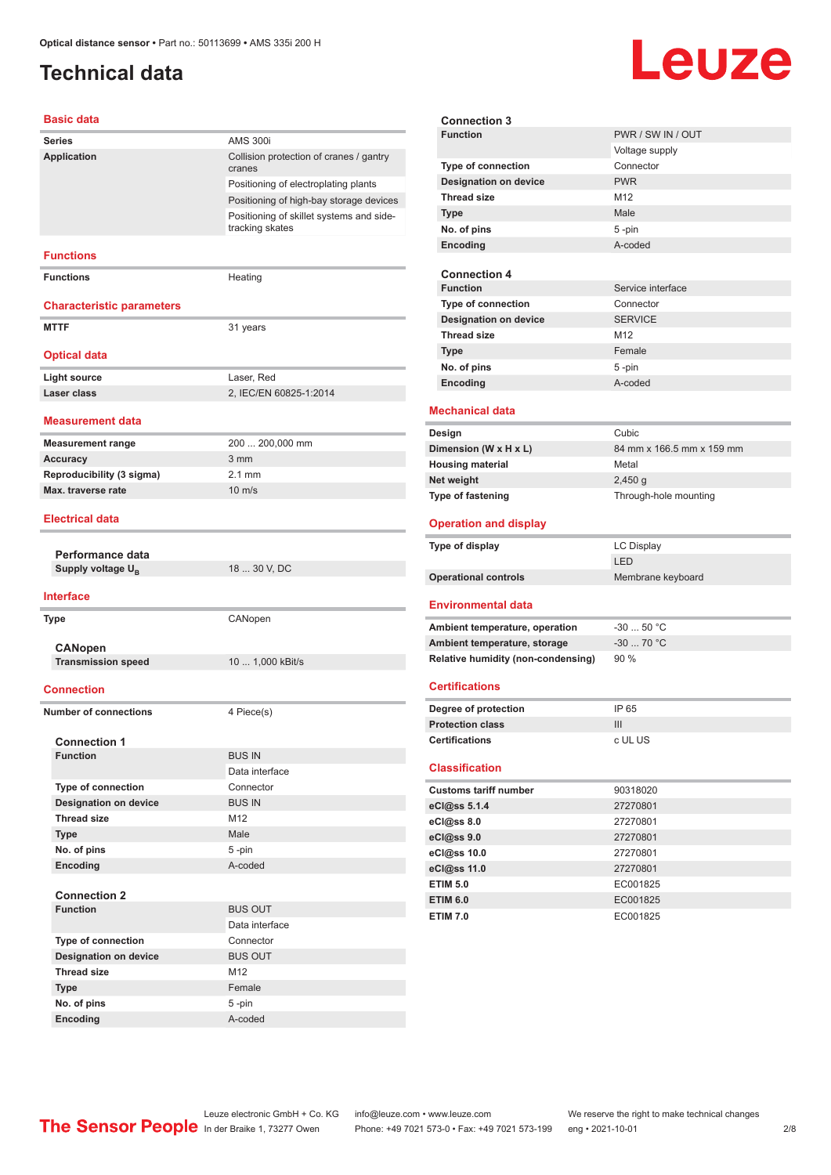# <span id="page-1-0"></span>**Technical data**

# **Leuze**

#### **Basic data**

| שושט טוכשכ                                        |                                                             |
|---------------------------------------------------|-------------------------------------------------------------|
| <b>Series</b>                                     | <b>AMS 300i</b>                                             |
| Application                                       | Collision protection of cranes / gantry<br>cranes           |
|                                                   | Positioning of electroplating plants                        |
|                                                   | Positioning of high-bay storage devices                     |
|                                                   | Positioning of skillet systems and side-<br>tracking skates |
| <b>Functions</b>                                  |                                                             |
| <b>Functions</b>                                  | Heating                                                     |
| <b>Characteristic parameters</b>                  |                                                             |
| <b>MTTF</b>                                       | 31 years                                                    |
| <b>Optical data</b>                               |                                                             |
| <b>Light source</b>                               | Laser, Red                                                  |
| Laser class                                       | 2, IEC/EN 60825-1:2014                                      |
| Measurement data                                  |                                                             |
| <b>Measurement range</b>                          | 200  200,000 mm                                             |
| <b>Accuracy</b>                                   | 3 mm                                                        |
| Reproducibility (3 sigma)                         | $2.1$ mm                                                    |
| Max. traverse rate                                | $10 \text{ m/s}$                                            |
| <b>Electrical data</b>                            |                                                             |
|                                                   |                                                             |
| Performance data<br>Supply voltage U <sub>R</sub> | 18  30 V, DC                                                |
|                                                   |                                                             |
| <b>Interface</b>                                  |                                                             |
| <b>Type</b>                                       | CANopen                                                     |
|                                                   |                                                             |
| <b>CANopen</b><br><b>Transmission speed</b>       | 10  1,000 kBit/s                                            |
|                                                   |                                                             |
| <b>Connection</b>                                 |                                                             |
| <b>Number of connections</b>                      | 4 Piece(s)                                                  |
|                                                   |                                                             |
| <b>Connection 1</b><br><b>Function</b>            | <b>BUS IN</b>                                               |
|                                                   | Data interface                                              |
| Type of connection                                | Connector                                                   |
| <b>Designation on device</b>                      | <b>BUS IN</b>                                               |
| <b>Thread size</b>                                | M12                                                         |
| <b>Type</b>                                       | Male                                                        |
| No. of pins                                       | 5-pin                                                       |
| Encoding                                          | A-coded                                                     |
|                                                   |                                                             |
| <b>Connection 2</b>                               |                                                             |
|                                                   |                                                             |
| <b>Function</b>                                   | <b>BUS OUT</b>                                              |
|                                                   | Data interface                                              |
| <b>Type of connection</b>                         | Connector                                                   |
| <b>Designation on device</b>                      | <b>BUS OUT</b>                                              |
| <b>Thread size</b>                                | M12                                                         |
| <b>Type</b>                                       | Female                                                      |
| No. of pins<br>Encoding                           | 5-pin<br>A-coded                                            |

| <b>Connection 3</b>                                                                           |                           |  |
|-----------------------------------------------------------------------------------------------|---------------------------|--|
| <b>Function</b>                                                                               | PWR / SW IN / OUT         |  |
|                                                                                               | Voltage supply            |  |
| Type of connection                                                                            | Connector                 |  |
| <b>Designation on device</b>                                                                  | <b>PWR</b>                |  |
| <b>Thread size</b>                                                                            | M <sub>12</sub>           |  |
| <b>Type</b>                                                                                   | Male                      |  |
| No. of pins                                                                                   | $5 - pin$                 |  |
| Encoding                                                                                      | A-coded                   |  |
|                                                                                               |                           |  |
| <b>Connection 4</b>                                                                           |                           |  |
| <b>Function</b>                                                                               | Service interface         |  |
| <b>Type of connection</b>                                                                     | Connector                 |  |
| <b>Designation on device</b>                                                                  | <b>SERVICE</b>            |  |
| <b>Thread size</b>                                                                            | M <sub>12</sub>           |  |
| <b>Type</b>                                                                                   | Female                    |  |
| No. of pins                                                                                   | 5-pin<br>A-coded          |  |
| Encoding                                                                                      |                           |  |
| <b>Mechanical data</b>                                                                        |                           |  |
| Design                                                                                        | Cubic                     |  |
| Dimension (W x H x L)                                                                         | 84 mm x 166.5 mm x 159 mm |  |
| <b>Housing material</b>                                                                       | Metal                     |  |
| Net weight                                                                                    | $2,450$ g                 |  |
| Type of fastening                                                                             | Through-hole mounting     |  |
|                                                                                               |                           |  |
| <b>Operation and display</b>                                                                  |                           |  |
|                                                                                               |                           |  |
|                                                                                               | <b>LC Display</b>         |  |
| Type of display                                                                               | LED                       |  |
|                                                                                               | Membrane keyboard         |  |
| Environmental data                                                                            |                           |  |
|                                                                                               | $-3050 °C$                |  |
| <b>Operational controls</b><br>Ambient temperature, operation<br>Ambient temperature, storage | $-30$ 70 °C               |  |
| Relative humidity (non-condensing)                                                            | 90%                       |  |
|                                                                                               |                           |  |
| <b>Certifications</b>                                                                         |                           |  |
| Degree of protection                                                                          | IP 65                     |  |
| <b>Protection class</b>                                                                       | III                       |  |
| Certifications                                                                                | c UL US                   |  |
|                                                                                               |                           |  |
| <b>Classification</b>                                                                         |                           |  |
| <b>Customs tariff number</b>                                                                  | 90318020                  |  |
| eCl@ss 5.1.4                                                                                  | 27270801                  |  |
| eCl@ss 8.0                                                                                    | 27270801                  |  |
| eCl@ss 9.0                                                                                    | 27270801                  |  |
| eCl@ss 10.0                                                                                   | 27270801                  |  |
| eCl@ss 11.0                                                                                   | 27270801                  |  |
| <b>ETIM 5.0</b>                                                                               | EC001825                  |  |
| <b>ETIM 6.0</b><br><b>ETIM 7.0</b>                                                            | EC001825<br>EC001825      |  |

Leuze electronic GmbH + Co. KG info@leuze.com • www.leuze.com We reserve the right to make technical changes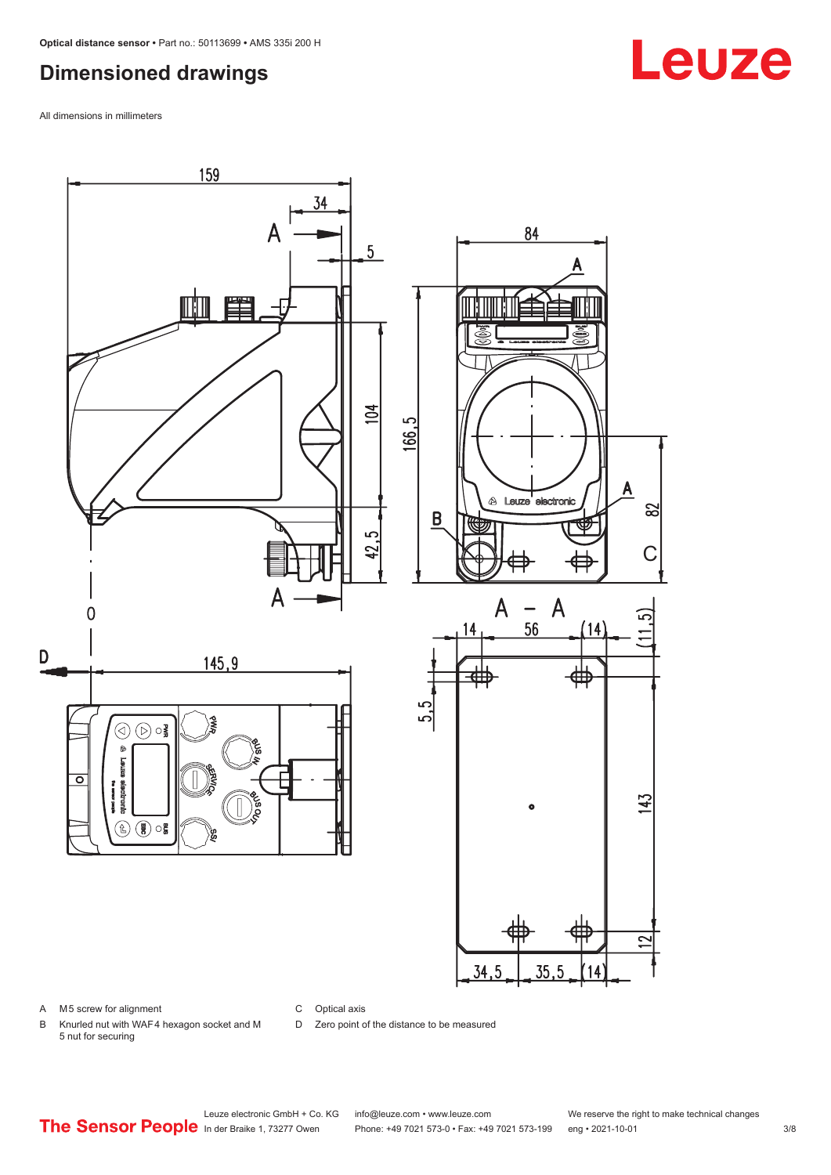### <span id="page-2-0"></span>**Dimensioned drawings**

All dimensions in millimeters



#### A M5 screw for alignment

C Optical axis

D Zero point of the distance to be measured

B Knurled nut with WAF 4 hexagon socket and M 5 nut for securing

Leuze electronic GmbH + Co. KG info@leuze.com • www.leuze.com We reserve the right to make technical changes<br>
The Sensor People in der Braike 1, 73277 Owen Phone: +49 7021 573-0 • Fax: +49 7021 573-199 eng • 2021-10-01 Phone: +49 7021 573-0 • Fax: +49 7021 573-199 eng • 2021-10-01 3/8

# **Leuze**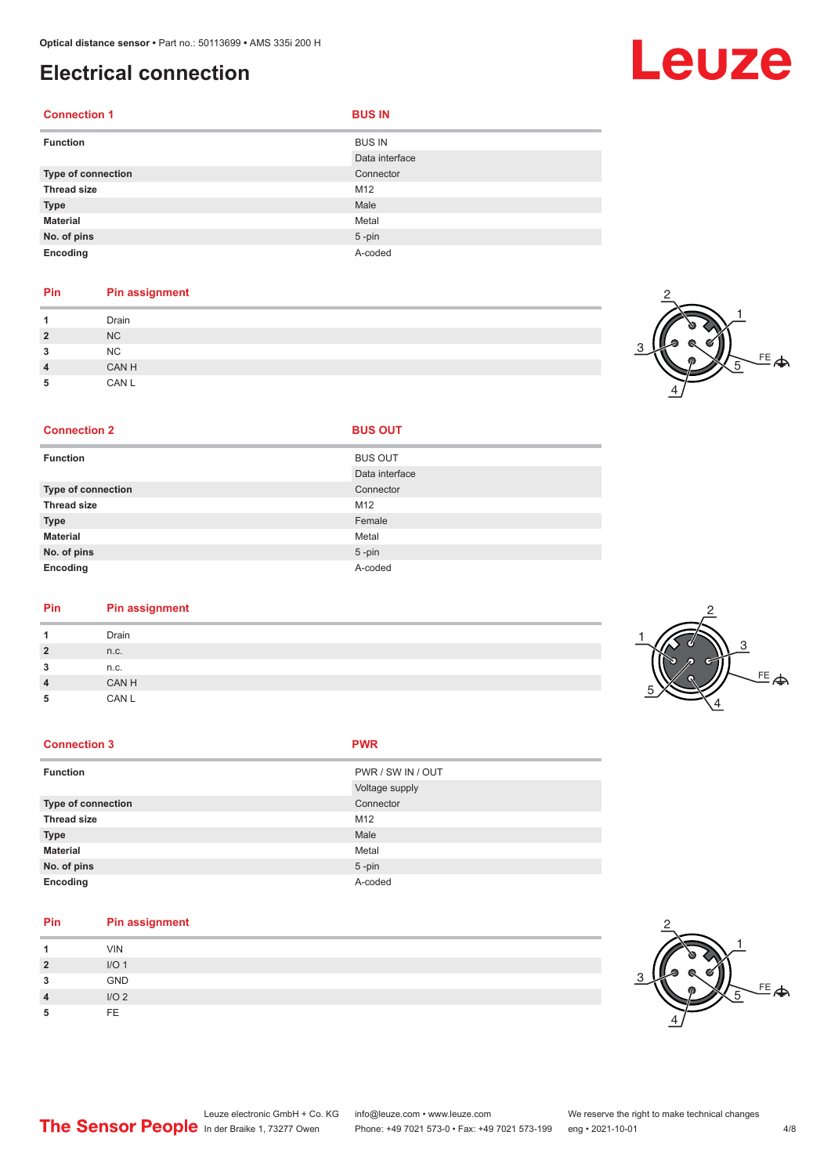### <span id="page-3-0"></span>**Electrical connection**

| <b>Connection 1</b> | <b>BUS IN</b>  |
|---------------------|----------------|
| <b>Function</b>     | <b>BUS IN</b>  |
|                     | Data interface |
| Type of connection  | Connector      |
| <b>Thread size</b>  | M12            |
| <b>Type</b>         | Male           |
| <b>Material</b>     | Metal          |
| No. of pins         | $5$ -pin       |
| Encoding            | A-coded        |

#### **Pin Pin assignment**

|                | Drain     |
|----------------|-----------|
| $\overline{2}$ | NC        |
| 3              | <b>NC</b> |
| 4              | CAN H     |
| 5              | CAN L     |

#### <sup>EE</sup><br>今 1 2 3 4 5

#### **Connection 2 BUS OUT**

| <b>Function</b>    | <b>BUS OUT</b> |
|--------------------|----------------|
|                    | Data interface |
| Type of connection | Connector      |
| <b>Thread size</b> | M12            |
| <b>Type</b>        | Female         |
| <b>Material</b>    | Metal          |
| No. of pins        | $5$ -pin       |
| Encoding           | A-coded        |

#### **Pin Pin assignment**

| Drain |  |
|-------|--|
| n.c.  |  |
| n.c.  |  |
| CAN H |  |
| CAN L |  |
|       |  |

#### **Connection 3 PWR**

| <b>Function</b>    | PWR / SW IN / OUT |
|--------------------|-------------------|
|                    | Voltage supply    |
| Type of connection | Connector         |
| <b>Thread size</b> | M12               |
| <b>Type</b>        | Male              |
| <b>Material</b>    | Metal             |
| No. of pins        | $5$ -pin          |
| Encoding           | A-coded           |
|                    |                   |

#### **Pin Pin assignment**

|                | <b>VIN</b>       |  |
|----------------|------------------|--|
| $\overline{2}$ | I/O <sub>1</sub> |  |
| 3              | GND              |  |
| 4              | I/O <sub>2</sub> |  |
| 5              | FF.              |  |



# Leuze

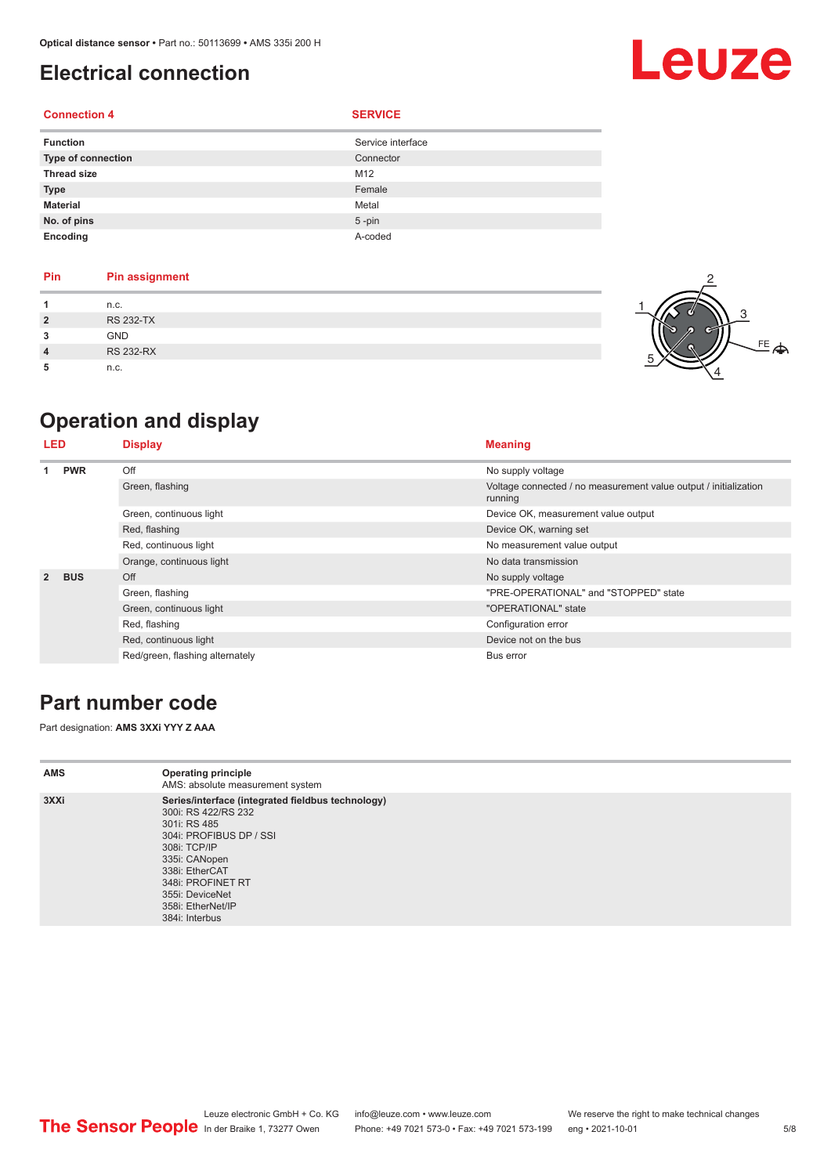# <span id="page-4-0"></span>**Electrical connection**

#### **Connection 4 SERVICE**

| <b>Function</b>    | Service interface |
|--------------------|-------------------|
| Type of connection | Connector         |
| <b>Thread size</b> | M12               |
| <b>Type</b>        | Female            |
| <b>Material</b>    | Metal             |
| No. of pins        | $5 - pin$         |
| Encoding           | A-coded           |

| <b>Pin</b>     | <b>Pin assignment</b> |
|----------------|-----------------------|
|                | n.c.                  |
| $\overline{2}$ | <b>RS 232-TX</b>      |
| 3              | <b>GND</b>            |
| $\overline{4}$ | <b>RS 232-RX</b>      |
| 5              | n.c.                  |

# **Operation and display**

| <b>LED</b>     |            | <b>Display</b>                  | <b>Meaning</b>                                                              |
|----------------|------------|---------------------------------|-----------------------------------------------------------------------------|
| <b>PWR</b>     |            | Off                             | No supply voltage                                                           |
|                |            | Green, flashing                 | Voltage connected / no measurement value output / initialization<br>running |
|                |            | Green, continuous light         | Device OK, measurement value output                                         |
|                |            | Red, flashing                   | Device OK, warning set                                                      |
|                |            | Red, continuous light           | No measurement value output                                                 |
|                |            | Orange, continuous light        | No data transmission                                                        |
| $\overline{2}$ | <b>BUS</b> | Off                             | No supply voltage                                                           |
|                |            | Green, flashing                 | "PRE-OPERATIONAL" and "STOPPED" state                                       |
|                |            | Green, continuous light         | "OPERATIONAL" state                                                         |
|                |            | Red, flashing                   | Configuration error                                                         |
|                |            | Red, continuous light           | Device not on the bus                                                       |
|                |            | Red/green, flashing alternately | Bus error                                                                   |

### **Part number code**

Part designation: **AMS 3XXi YYY Z AAA**

| <b>AMS</b> | <b>Operating principle</b><br>AMS: absolute measurement system                                                                                                                                                                                        |
|------------|-------------------------------------------------------------------------------------------------------------------------------------------------------------------------------------------------------------------------------------------------------|
| 3XXi       | Series/interface (integrated fieldbus technology)<br>300i: RS 422/RS 232<br>301i: RS 485<br>304i: PROFIBUS DP / SSI<br>308i: TCP/IP<br>335i: CANopen<br>338i: EtherCAT<br>348i: PROFINET RT<br>355i: DeviceNet<br>358i: EtherNet/IP<br>384i: Interbus |



# Leuze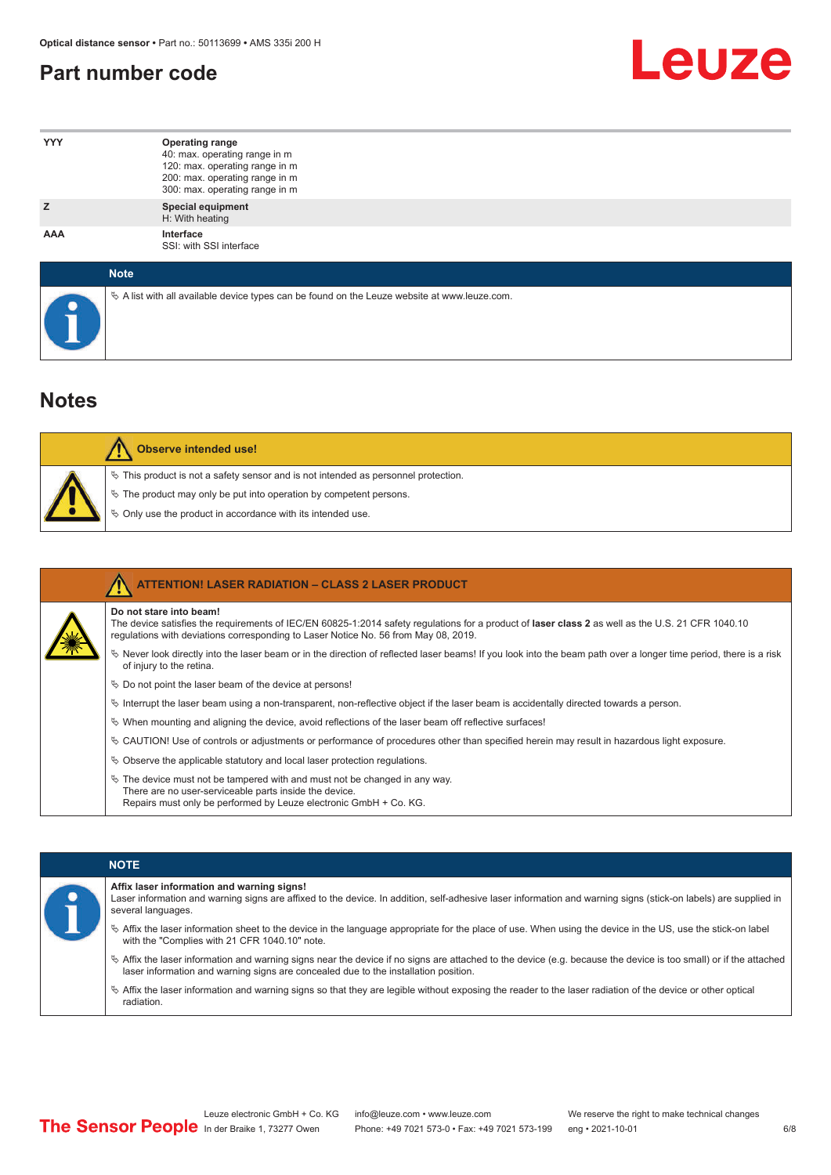### <span id="page-5-0"></span>**Part number code**



| <b>YYY</b>  | Operating range<br>40: max. operating range in m<br>120: max. operating range in m<br>200: max. operating range in m<br>300: max. operating range in m |
|-------------|--------------------------------------------------------------------------------------------------------------------------------------------------------|
| z           | <b>Special equipment</b><br>H: With heating                                                                                                            |
| AAA         | Interface<br>SSI: with SSI interface                                                                                                                   |
| <b>Note</b> |                                                                                                                                                        |

 $\%$  A list with all available device types can be found on the Leuze website at www.leuze.com.

### **Notes**

| Observe intended use!                                                                                                                                                                                                      |
|----------------------------------------------------------------------------------------------------------------------------------------------------------------------------------------------------------------------------|
| $\%$ This product is not a safety sensor and is not intended as personnel protection.<br>§ The product may only be put into operation by competent persons.<br>♦ Only use the product in accordance with its intended use. |

|  | <b>ATTENTION! LASER RADIATION - CLASS 2 LASER PRODUCT</b>                                                                                                                                                                                                           |
|--|---------------------------------------------------------------------------------------------------------------------------------------------------------------------------------------------------------------------------------------------------------------------|
|  | Do not stare into beam!<br>The device satisfies the requirements of IEC/EN 60825-1:2014 safety requlations for a product of laser class 2 as well as the U.S. 21 CFR 1040.10<br>requlations with deviations corresponding to Laser Notice No. 56 from May 08, 2019. |
|  | Never look directly into the laser beam or in the direction of reflected laser beams! If you look into the beam path over a longer time period, there is a risk<br>of injury to the retina.                                                                         |
|  | $\%$ Do not point the laser beam of the device at persons!                                                                                                                                                                                                          |
|  | Interrupt the laser beam using a non-transparent, non-reflective object if the laser beam is accidentally directed towards a person.                                                                                                                                |
|  | $\%$ When mounting and aligning the device, avoid reflections of the laser beam off reflective surfaces!                                                                                                                                                            |
|  | $\&$ CAUTION! Use of controls or adjustments or performance of procedures other than specified herein may result in hazardous light exposure.                                                                                                                       |
|  | $\&$ Observe the applicable statutory and local laser protection requisitions.                                                                                                                                                                                      |
|  | $\ddot{\varphi}$ The device must not be tampered with and must not be changed in any way.<br>There are no user-serviceable parts inside the device.<br>Repairs must only be performed by Leuze electronic GmbH + Co. KG.                                            |

#### **NOTE**

#### **Affix laser information and warning signs!**

| Laser information and warning signs are affixed to the device. In addition, self-adhesive laser information and warning signs (stick-on labels) are supplied in |
|-----------------------------------------------------------------------------------------------------------------------------------------------------------------|
| several languages.                                                                                                                                              |

- ª Affix the laser information sheet to the device in the language appropriate for the place of use. When using the device in the US, use the stick-on label with the "Complies with 21 CFR 1040.10" note.
- ª Affix the laser information and warning signs near the device if no signs are attached to the device (e.g. because the device is too small) or if the attached laser information and warning signs are concealed due to the installation position.
- ª Affix the laser information and warning signs so that they are legible without exposing the reader to the laser radiation of the device or other optical radiation.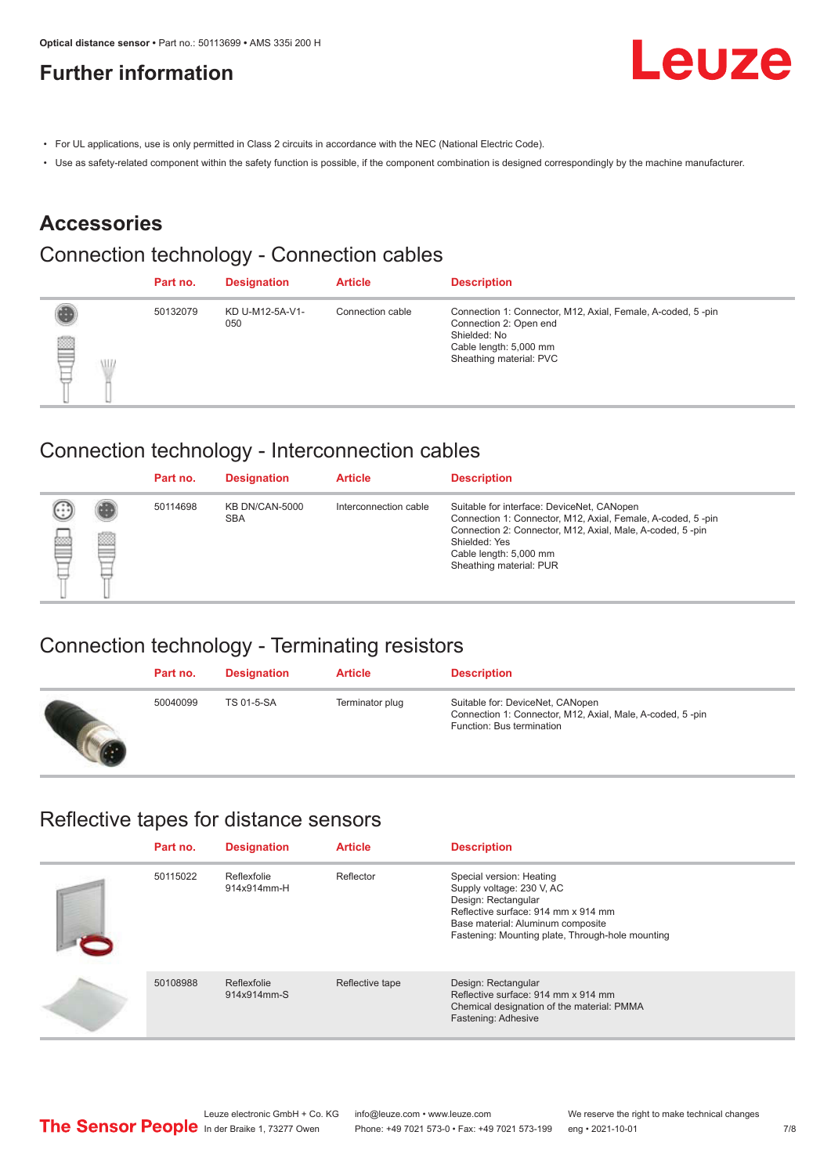# <span id="page-6-0"></span>**Further information**



- For UL applications, use is only permitted in Class 2 circuits in accordance with the NEC (National Electric Code).
- Use as safety-related component within the safety function is possible, if the component combination is designed correspondingly by the machine manufacturer.

#### **Accessories**

### Connection technology - Connection cables

|        | Part no. | <b>Designation</b>     | <b>Article</b>   | <b>Description</b>                                                                                                                                         |
|--------|----------|------------------------|------------------|------------------------------------------------------------------------------------------------------------------------------------------------------------|
| ▤<br>W | 50132079 | KD U-M12-5A-V1-<br>050 | Connection cable | Connection 1: Connector, M12, Axial, Female, A-coded, 5-pin<br>Connection 2: Open end<br>Shielded: No<br>Cable length: 5,000 mm<br>Sheathing material: PVC |

#### Connection technology - Interconnection cables

|   |   | Part no. | <b>Designation</b>                  | <b>Article</b>        | <b>Description</b>                                                                                                                                                                                                                           |
|---|---|----------|-------------------------------------|-----------------------|----------------------------------------------------------------------------------------------------------------------------------------------------------------------------------------------------------------------------------------------|
| ▩ | ø | 50114698 | <b>KB DN/CAN-5000</b><br><b>SBA</b> | Interconnection cable | Suitable for interface: DeviceNet, CANopen<br>Connection 1: Connector, M12, Axial, Female, A-coded, 5-pin<br>Connection 2: Connector, M12, Axial, Male, A-coded, 5-pin<br>Shielded: Yes<br>Cable length: 5,000 mm<br>Sheathing material: PUR |

### Connection technology - Terminating resistors

| Part no. | <b>Designation</b> | <b>Article</b>  | <b>Description</b>                                                                                                         |
|----------|--------------------|-----------------|----------------------------------------------------------------------------------------------------------------------------|
| 50040099 | TS 01-5-SA         | Terminator plug | Suitable for: DeviceNet, CANopen<br>Connection 1: Connector, M12, Axial, Male, A-coded, 5-pin<br>Function: Bus termination |

#### Reflective tapes for distance sensors

| Part no. | <b>Designation</b>         | <b>Article</b>  | <b>Description</b>                                                                                                                                                                                           |
|----------|----------------------------|-----------------|--------------------------------------------------------------------------------------------------------------------------------------------------------------------------------------------------------------|
| 50115022 | Reflexfolie<br>914x914mm-H | Reflector       | Special version: Heating<br>Supply voltage: 230 V, AC<br>Design: Rectangular<br>Reflective surface: 914 mm x 914 mm<br>Base material: Aluminum composite<br>Fastening: Mounting plate, Through-hole mounting |
| 50108988 | Reflexfolie<br>914x914mm-S | Reflective tape | Design: Rectangular<br>Reflective surface: 914 mm x 914 mm<br>Chemical designation of the material: PMMA<br>Fastening: Adhesive                                                                              |